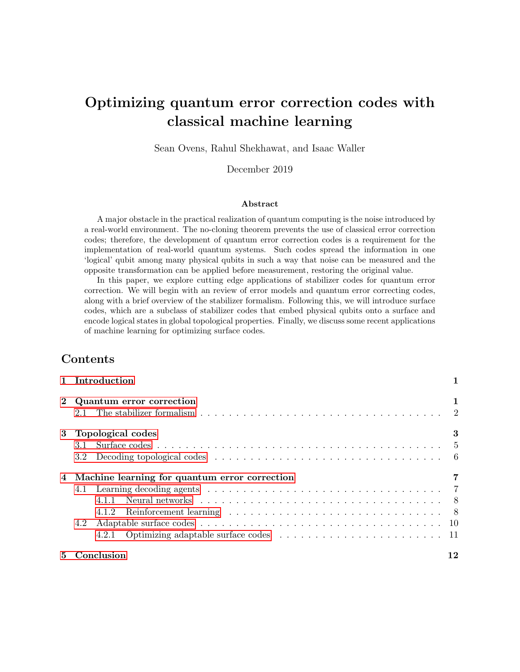# Optimizing quantum error correction codes with classical machine learning

Sean Ovens, Rahul Shekhawat, and Isaac Waller

December 2019

#### Abstract

A major obstacle in the practical realization of quantum computing is the noise introduced by a real-world environment. The no-cloning theorem prevents the use of classical error correction codes; therefore, the development of quantum error correction codes is a requirement for the implementation of real-world quantum systems. Such codes spread the information in one 'logical' qubit among many physical qubits in such a way that noise can be measured and the opposite transformation can be applied before measurement, restoring the original value.

In this paper, we explore cutting edge applications of stabilizer codes for quantum error correction. We will begin with an review of error models and quantum error correcting codes, along with a brief overview of the stabilizer formalism. Following this, we will introduce surface codes, which are a subclass of stabilizer codes that embed physical qubits onto a surface and encode logical states in global topological properties. Finally, we discuss some recent applications of machine learning for optimizing surface codes.

### Contents

|       | 1 Introduction                                         |    |
|-------|--------------------------------------------------------|----|
|       | Quantum error correction                               | 1  |
| $3 -$ | Topological codes                                      | 3  |
|       | 4 Machine learning for quantum error correction<br>4.2 |    |
| 5.    | Conclusion                                             | 12 |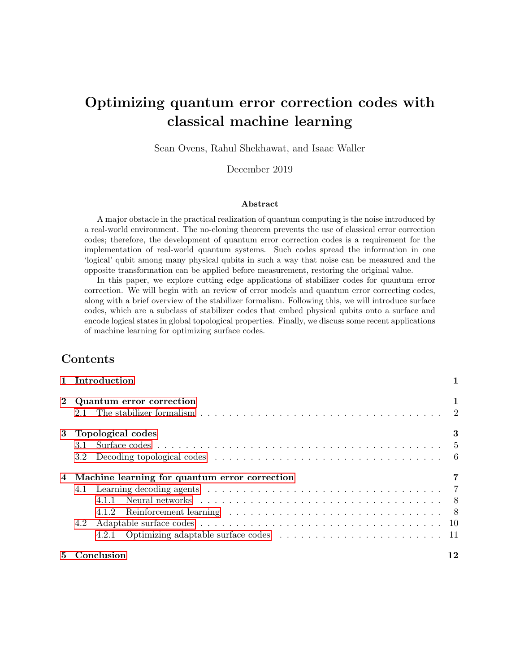## 1 Introduction

We cannot clone, perforce; instead, we split Coherence to protect it from that wrong That would destroy our valued quantum bit And make our computation take too long.

Correct a flip and phase - that will suffice. If in our code another error's bred, We simply measure it, then God plays dice, Collapsing it to X or Y or Zed.

We start with noisy seven, nine, or five And end with perfect one. To better spot Those flaws we must avoid, we first must strive To find which ones commute and which do not.

With group and eigenstate, we've learned to fix Your quantum errors with our quantum tricks.

Daniel Gottesman [9]

Noise and interference are inescapable when operating in the physical world. While this fact may be familiar to physicists, most computer scientists choose to ignore noise in their theoretical models of computing, instead opting for more elegant noise-free models. This poses issues for the translation of these abstract models into real computers. The construction of useful physical computers, both classical and quantum, is not possible without the development of safeguards that prevent noise from destroying the result of a computation. Therefore, the development of error correction mechanisms that make computation possible in the presence of noise with minimal overhead is crucial.

A number of physical systems are being explored for the implementation of quantum computing, including ions, spins in semiconductors, and superconducting circuits. However, none of these systems allow us to implement a proper computational qubit owing to their poor efficiency and susceptibility to noise. To overcome the efficiency issues with noisy qubits, we use a collection of physical qubits to build a logical qubit, which can be much more resilient than individual qubits. Quantum error correction schemes aim to encode logical information in such a way that small errors do not change the stored information.

In this paper, we survey the frontier of quantum error correction. We begin with a brief introduction to basic quantum error correction techniques along with the stabilizer formalism in Section 2. In Section 3 we motivate the use of topological codes for quantum error correction before introducing the class of surface codes. Finally, in Section 4 we describe several state-of-theart applications of machine learning for optimizing surface code implementations.

### 2 Quantum error correction

Quantum error correction is necessarily different from classical error correction due to the unique characteristics of qubits. Due to the no-cloning theorem, it is impossible to copy a qubit. Due to the nature of quantum measurement, it is impossible to observe a qubit's value without possibly destroying some of its encoded quantum information, making it impossible to simply measure all qubits and take the majority result. Finally, due to the  $2<sup>n</sup>$ -dimensional nature of *n*-dimensional quantum systems, errors can take the form of not only a 'bit flip' as in classical bitstrings, but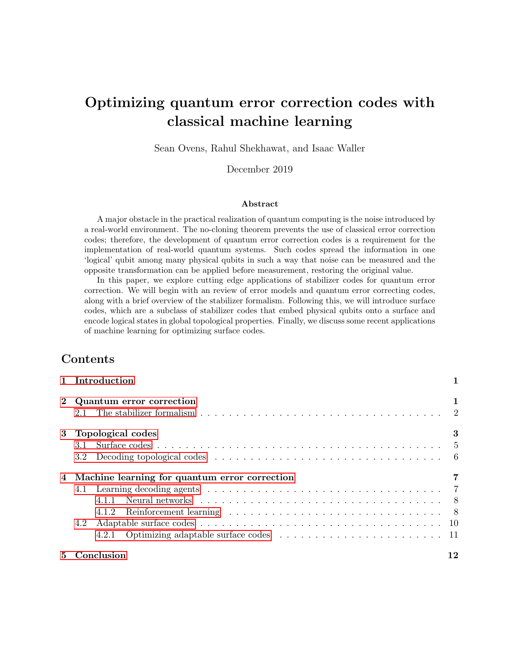any rotation in a  $2<sup>n</sup>$ -dimensional complex Hilbert space [18], meaning there is an infinite number of possible errors. Therefore, it is impossible to simply apply typical classical error correction techniques to quantum states.

However, all hope is not lost. Shor [14] made a major breakthrough in quantum error correction when they described how any arbitrary quantum error could be measured without destroying the original quantum state. Extra qubits, called syndrome qubits, can be added to the system, and then an operation can be applied such that these extra qubits represent the nature of the error that perturbed the original quantum state. When the syndrome qubit is measured, the continuous quantum error is projected onto a discrete basis. The syndrome measurement can then be used to apply a unitary operation to the original qubit that reverses the error, restoring the system to its error-free state.

Indeed, it can be shown that the ability to correct some set of quantum errors implies the ability to correct any linear combination of these errors [8]. Hence, it suffices to correct some basis of the error space. Typically, we consider the Pauli basis  $\mathcal{T}, X, Y, Zg$ . Since  $Y = iXZ$  is simply a combination of an  $X$  error and a  $Z$  error, we do not specifically address the  $Y$  error when designing a quantum error correcting scheme. Instead, we aim to correct just the Pauli X (bit flip) and Pauli Z (phase flip) errors:

$$
X = \begin{bmatrix} 0 & 1 \\ 1 & 0 \end{bmatrix} \qquad \qquad Z = \begin{bmatrix} 1 & 0 \\ 0 & 1 \end{bmatrix}
$$

Shor's 9-qubit code protects against both of errors on a single qubit, and therefore any type of single qubit error. While Shor's 9-qubit code is an important quantum error correction code, it has weaknesses which make it unsuitable for real world general purpose quantum computation. Its rate—ratio of logical to physical qubits—is fairly low, meaning that an enormous amount of physical qubits are required for even a modest number of logical qubits. Since current quantum computers have relatively few qubits, this is a major problem.

Effective codes generally have codewords that are "as different as possible". This idea is formalized with the *distance* of the code, which is the minimum *weight* of any operator that can transform some codeword into a different codeword. The *weight* of an operator is the number of qubits on which it acts nontrivially. For instance, the operator  $Z$  $I<sup>7</sup>$  Z has weight 2, since it applies the nontrivial  $Z$  operator at two locations. The 9-qubit code has distance 3 since, for example, the operator  $Z_1Z_4Z_7$  (that is, the Z operator applied to the first, fourth, and seventh qubits) can transform the logical  $\overline{0}i$  state into the logical  $\overline{1}i$  state. Shor's 9-qubit code is just one example of a larger class of quantum error correction codes called stabilizer codes.

### 2.1 The stabilizer formalism

A stabilizer code is a type of quantum error correction code where encoding and decoding circuits can be implemented entirely using the Pauli gates  $I, X, Y$ , and  $Z$ . Most notable quantum error correction codes are stabilizer codes. These codes have the useful property that every code state is 'stabilized' by the code's 'stabilizer group'. An operator U is said to *stabilize* a quantum state  $\dot{\psi}$ if  $U \dot{\psi} = \dot{\psi}$ . For example, I stabilizes all quantum states, while X stabilizes  $j+i$ :

$$
X j + i = \frac{X j0i + X j1i}{\frac{\beta}{2}} = \frac{j1i + j0i}{\frac{\beta}{2}} = j + i
$$

A stabilizer code on  $n$  physical qubits is specified by its *stabilizer group*, which is a subgroup S of the 'Pauli group'  $P_n = fI, X, Y, Zg^{-n}$ , i.e. the group of all tensor products of Pauli matrices [18]. Here we use a shorthand  $ABC...$  for the tensor product  $A \quad B \quad C \quad ...$  of Pauli matrices. Such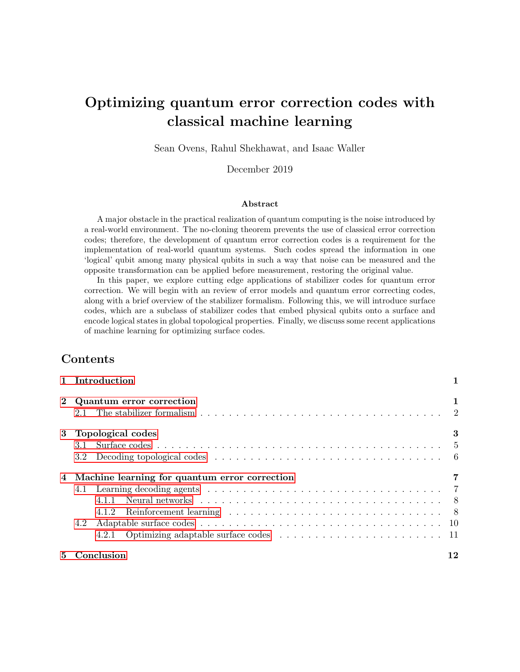

Figure 1: An example circuit to measure three stabilizers  $P_1, P_2, P_3$  without destroying the encoded quantum state. The last qubit is the syndrome qubit. [4]

a code can be compactly described by the 'generators' of  $S$ , i.e. the set of linearly independent members of  $P_n$  where each element of S can be expressed as a product of these elements.

For example, consider the simple three-qubit repetition code, where a qubit  $j\psi i = \alpha j0 + \beta j1i$ is encoded as  $\alpha/000i + \beta/111i$ . The stabilizer group of this code is  $S = fZZI, ZIZ, IZZ, IIIq$ [5]. It can easily be verified that a generator set of this group is  $fZZI, ZIZg$  because the other two Pauli matrices can be obtained as a product of these. It can also easily be verified that any member of the stabilizer group stabilizes any codeword; for example:

$$
(ZZI)(\alpha/000i + \beta/111i) = \alpha/000i + \beta(-1i) \quad (1i) \quad (1i) = \alpha/000i + \beta/111i
$$

The size of the stabilizer group is  $2^n$ , where n is the number of physical qubits. If the number of logical qubits represented by the code is  $k$  and the number of stabilizer generators is  $m$ , then  $m = n \quad k \; [4].$ 

The principle behind stabilizer codes is that 'correct' codewords will be stabilized by the generators while non-codewords (produced by an error) will not be. Of course, an error which maps from one codeword to another cannot be detected [18], but there exist many stabilizer codes which can always correct the commonly used bit flip and phase shift errors. For example, Shor's code can be represented as a stabilizer code (Figure 2). It has been proven that the smallest stabilizer code that can correct any single error is a five qubit code [10].

Error detection on a stabilizer code can be done by measuring the stabilizer generators using a circuit like the one in Figure 1. The syndrome measurements can be used to apply error correction operators to correct the qubit. Notice that there is not a one-to-one relationship between potential errors and stabilizer measurements. Given any error  $E$  and a stabilizer  $S$ , the error  $SE$  will be indistinguishable from E under the stabilizer code [4]. Thus, an algorithm is necessary to decide which error correction operator to apply for any given stabilizer measurement. In fact, the general case of decoding a stabilizer code is an NP-hard problem [12]. These algorithms are called 'decoders' and we will examine them more closely in later sections.

### 3 Topological codes

Stabilizer codes have been extended into more complex quantum error correction codes, like topological codes, which encode qubits in topology. Recall that the repetition code can be used to protect a qubit from bit-flip errors. We have already seen that the repetition code is unsuitable to correct general single-qubit errors, and in particular it is incapable of handling phase errors. For the sake of demonstration, we present one additional scenario in which the repetition code fails: consider the state  $j\psi j = \frac{1}{2}(\tilde{0}i + \tilde{1}i) = \frac{1}{2}(j000i + j111i)$  protected by the three-qubit repetition code.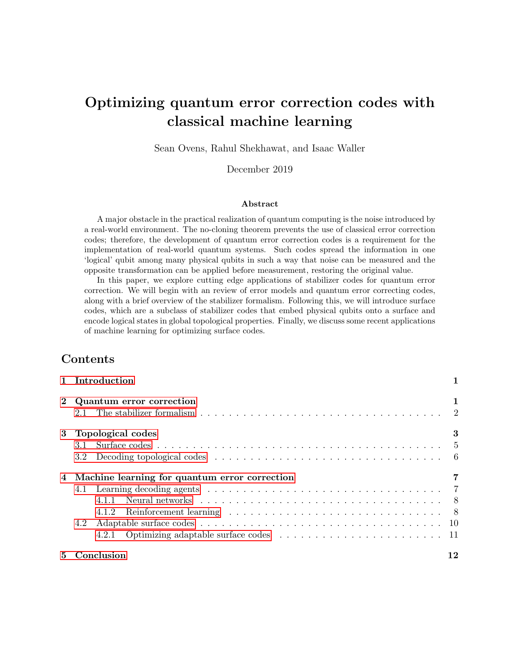|  | $\boldsymbol{X}$ |  | $X$ $I$ $I$ $I$ | X | X | $X$ ) |  |
|--|------------------|--|-----------------|---|---|-------|--|
|  |                  |  |                 |   |   |       |  |

Figure 2: The generator set for Shor's nine-qubit code in the stabilizer formalism [10]

Clearly, a projective measurement in the computational basis of any single physical qubit causes  $j\psi$  to collapse into either  $j0i = j000i$  or  $j1i = j111i$ . That is, the superposition can be destroyed by a single errant measurement (where a "measurement" could consist of a simple interaction with the environment).

In Section 2.1 we observed that Shor's nine-qubit code can be used to detect and correct an arbitrary single-qubit error. We also discovered that the distance of Shor's code is 3, meaning there exists an error operator of weight 3 that transforms a code word into a different code word. We can extend the idea of Shor's code to obtain a family of codes:

$$
\tilde{0}i = \frac{1}{2^k} \left( j0i^{-k} + j1i^{-k} \right)^{-k}
$$

$$
\tilde{1}i = \frac{1}{2^k} \left( j0i^{-k} - j1i^{-k} \right)^{-k}
$$

Naturally, the distance of such a code is k. The code uses  $k^2$  physical qubits to represent a single logical qubit, and hence its stabilizer has  $k^2$  1 generators. Notice that as k increases, the weight of the stabilizer generators associated with phase parity checking also increases. For example, the operator that determines the phase parity of the first two "bundles" of  $k$  qubits is the following:

$$
M = X_1 \quad \dots \quad X_{2k} \quad I \quad k^2 \quad 2k
$$

The weight of the operator  $M$  is  $2k$ . Therefore, the number of qubits involved in a stabilizer measurement increases as we increase the number of physical qubits in the code. This becomes an issue if our error model allows individual qubit measurements to return incorrect values with small probability; in this scenario, the probability that at least one measurement in a stabilizer generator returns an incorrect value increases with the weight of the stabilizer. Owing to the large number of qubits covered by the operator  $M$  (along with the other stabilizer generators that detect phase errors), we say that the stabilizer measurements of this family of codes are *non-local*. However, since we aim to address errors that occur locally (i.e. independently and on individual physical qubits), we would prefer to develop a local code in which the weight of every stabilizer is bounded above by a constant (relative to the code distance).

Our goal is to investigate a quantum error correcting code with the following constraints (as suggested by Wootton [17] and Bombin [2]):

(1) The logical qubit depends on global properties of the code. That is, the logical qubit can not be determined by the measurement of a single physical qubit,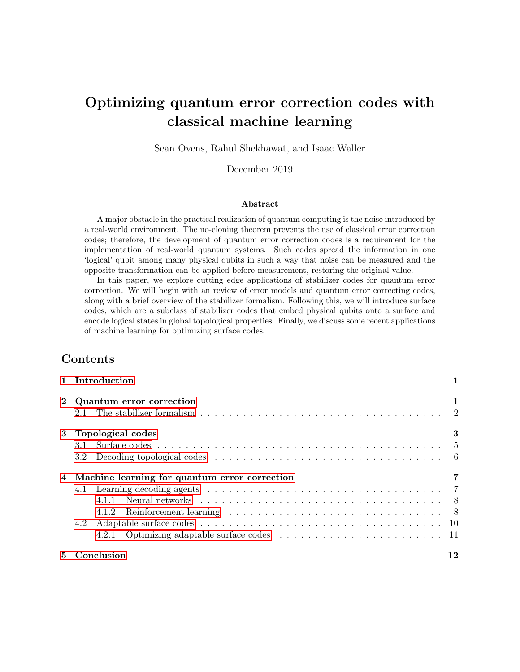

Figure 3: Implementation of a surface code [7].

- (2) the distance of the code increases with the number of physical qubits, and
- (3) the weight of a stabilizer operator is bounded above by a constant (as the number of physical qubits grows).

The use of topological codes is immediately suggested by (1). Since topological properties are inherently global, we can encode logical states in these properties. By embedding the system of qubits onto a surface, we will show how  $(2)$  and  $(3)$  can be satisfied as well. In the following section we introduce the surface code, an instructive example of a topological quantum error correcting code.

### 3.1 Surface codes

Originally defined by Kitaev [11], the toric code is a two-dimensional lattice of physical qubits which represents a pair of logical qubits. On an L L square lattice, there are  $2L^2$  edges and  $2L^2$ physical qubits, with one physical qubit on each edge. Since the links of the square lattice are drawn on a torus (equivalently, on a square with opposite edges identified), the codes are referred to as toric codes. It was later discovered that the toroidal geometry was unnecessary and planar versions (surface codes) were developed by Bravyi and Kitaev [3]. In this paper, we limit our discussion to toroidal geometry. However, the ideas discussed canbe extended to any class of surface codes. Surface codes are a subclass of stabilizer codes where information is encoded in homological degrees of freedom [2]. For surface codes, nontrivial logical operators are tensor products of Pauli operators along non-contractible paths of the torus (i.e. topologically nontrivial cycles).

Figure 3 (a) depicts an implementation of a surface code. The data qubits are white circles () and black circles ( ) represent the syndrome qubits (also referred to as measure qubits). The storing and manipulating of quantum information is done by data qubits and the syndrome qubits measure the stabilizer operators for the system. Figure 3 (b) and (c) represent the sequence of operations (geometric and quantum circuit) for measure- $Z$  qubits and measure- $X$  qubits, respectively. The stabilizer generators of the surface code are the set of Z operators that surround each plaquette (or cell) of the lattice, along with the set of  $X$  operators that surround each vertex of the lattice. These are represented by the green and yellow crosses in Figure 3, respectively. The circuits in Figure 3 (b) and (c) are the equivalent circuits for the surface code illustrated in Figure 3 (a). Running the circuit is equivalent to measuring the syndromes corresponding to that plaquette or vertex.

The codespace C is defined by the  $+1$  eigenspace of the stabilizer generators. To determine if the system is in the codespace, the stabilizers are measured repeatedly, forcing the physical qubits into some eigenstate of the stabilizer. Thus, any vector  $\dot{\psi}$  i 2 C if and only if  $S \dot{\psi}$  i =  $\dot{\psi}$  i for 8S 2 S,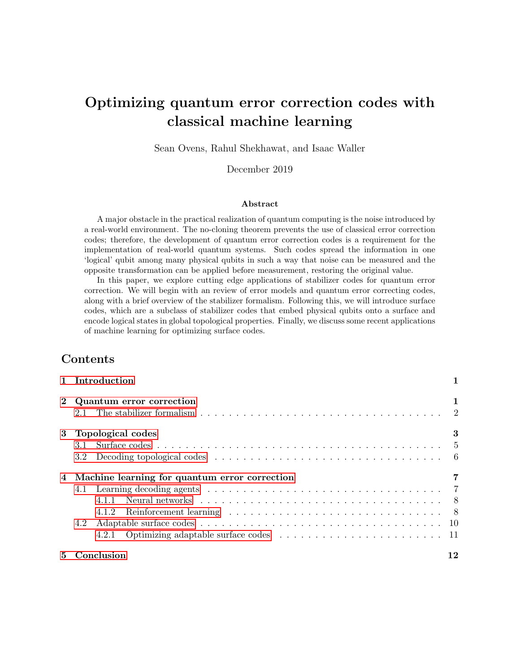where  $S$  is the stabilizer. If any of the measurements results in the outcome associated with the -1 eigenvalue of the stabilizer, then an error has occurred. Measuring each stabilizer generator allows us to isolate any affected data qubits, since an  $X$  error on a single data qubit will result in -1 outcomes on the pair of adjacent Z (i.e. plaquette) stabilizer generators. Similarly, a Z error on a single data qubit will result in  $-1$  outcomes on the pair of adjacent  $X$  (i.e. vertex) stabilizer generators.

Beyond its ease-of-analysis, the surface code offers several practical advantages. First, it is highly degenerate (that is, many code words represent the same logical qubit), and correction only needs to be performed up to homology [2]. That is, when presented with a particular syndrome, a decoder does not need to determine the exact error that produced it. Instead, a decoder only needs to decide on the most-likely homology class to which the error string belongs (though this is also a difficult problem, as we will see in Section 3.2). Second, the stabilizer generators of the surface code are all local. That is, each plaquette/vertex stabilizer acts on a constant number of spatially close qubits, regardless of the number of physical qubits in the system. However, there is a tradeoff for these advantages: a logical qubit with a reasonably high error threshold (about 1%) needs on the order of  $10^3$  to  $10^4$  physical qubits to represent it [7].

#### 3.2 Decoding topological codes

The decoding problem can be roughly stated as follows: given a syndrome of a particular state E j $\psi$ *i* indicating that some error E has occurred, decide on an operator  $E^{\theta}$  such that  $E^{\theta}E j\psi i = j\psi i$ (i.e. the operator  $E^{\ell}E$  is a member of the stabilizer). As described earlier, the syndrome of the surface code consists of the set of stabilizer measurements that return the outcome associated with their 1 eigenspace. We will henceforth refer to such measurements as *incorrect* stabilizer measurements. Any single physical qubit error in a surface code results in a pair of incorrect stabilizer measurements. More generally, any string of physical qubit errors in the underlying lattice results in a pair of incorrect stabilizer measurements at the endpoints of the string. We also note that the product of any set of stabilizer generators results in a boundary of Pauli operators. That is, any trivial cycle of Pauli operators on the surface code is a member of the stabilizer. Therefore, given the endpoints of some error string E, the decoder aims to find an error string  $E^{\ell}$ that connects the endpoints of  $E$ , resulting in a cycle. Notice that there are many possible choices for  $E^{\ell}$ . Some of these choices will result in a nontrivial cycle, the application of which amounts to a logical X or  $Z$  operation. In this circumstance, the decoder fails to correct the error  $E$ . Therefore, in order to avoid accidentally introducing a logical X or Z operation, the decoder must decide which error string  $E$  is most likely given the endpoints of  $E$ . The differences in error strings are only significant up to homology; see Figure 4 for further explanation.

Given the endpoints of some error string, the *optimal decoder* determines the probability of every equivalence class of the first homology group, and selects a correction string from the most likely class. Precisely calculating the probability of each equivalence class is extremely inefficient [4], so we cannot hope to use the optimal decoder in practice. Instead, the optimal decoder acts as a theoretical upper bound on the performance of other decoding solutions. The probability of each equivalence class depends on the chosen noise model. In the independent noise model, in which each physical qubit suffers an X error with probability  $p$  and a  $Z$  error (independently) with probability p. This model is popular in practice  $[4]$ , since it allows one to perform analysis on X and Z errors separately. The probability of a particular X (or  $Z$ ) error string of weight m in the independent noise model is  $p^m(1-p)^{n-m}$ , implying that short error strings are generally more likely. Using this idea, the decoding problem admits an efficient and deterministic approximation using the *minimum weight perfect matching* (MWPM) algorithm [6]. The *depolarizing noise model*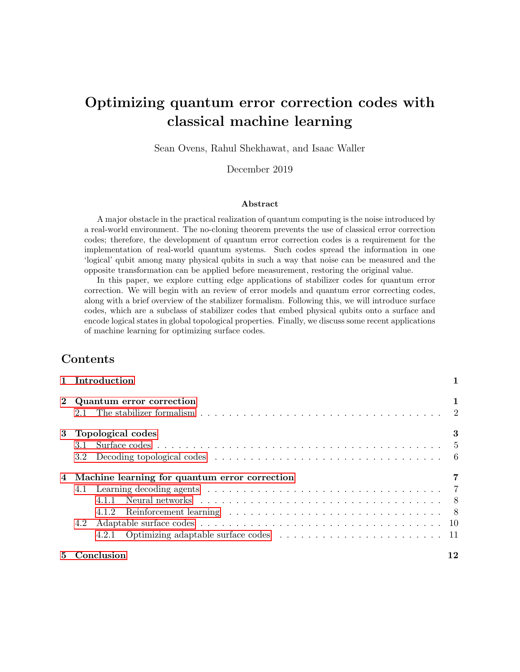

Figure 4: Suppose that the error string displayed in (a) occurs. That is, a Z error is applied to the two qubits highlighted in red. An incorrect stabilizer measurement is observed at the endpoints of this string, represented by the two red crosses in the image. If the decoder chooses to apply the error correction operator in (b) (i.e. the decoder applies  $Z$  operators to each of the qubits highlighted in green), then the resulting product of  $Z$  operators is a member of the stabilizer. Indeed, if the decoder chooses any string of correction operators that is homologically equivalent to the string depicted in (b), then the error is corrected. However, if the string of corrections in (c) is applied, then the resulting string of error operators comprises a nontrivial cycle on the surface. That is, the resulting product of Z operators is not a member of the stabilizer, and the stored logical state is corrupted.

introduces correlations between  $X$  and  $Z$  errors, and tends to be more difficult to analyze.

### 4 Machine learning for quantum error correction

While we have described the fundamentals of surface codes, we have left many important questions unanswered that would prevent us from developing an efficient and effective surface code implementation. For instance, how many physical qubits should be used in practice? What can we gain by using different lattice cellulations? How can we use objects with more homological degrees of freedom to our advantage? None of these questions has a simple answer, which is a consequence of the following unfortunate (but unsurprising) fact: the optimal set of parameters for the surface code heavily depends on the error rate and model. Each of the above questions can be difficult to answer analytically, so it seems natural to leverage machine learning to optimize surface codes for various environments. We will focus on two promising applications of machine learning for the surface code. First, we will examine decoding strategies that are facilitated by machine learning. Second, we will examine how reinforcement learning techniques can be used to optimize the structure of a surface code.

### 4.1 Learning decoding agents

As discussed in Section 3.2, decoding is not trivial. While MWPM provides a baseline, it is not an effective decoding strategy for correlated noise models. Finding efficient decoding algorithms for more complex error models is an active area of study. Machine learning can discover structure without explicit instruction, and has already produced some promising results in this field.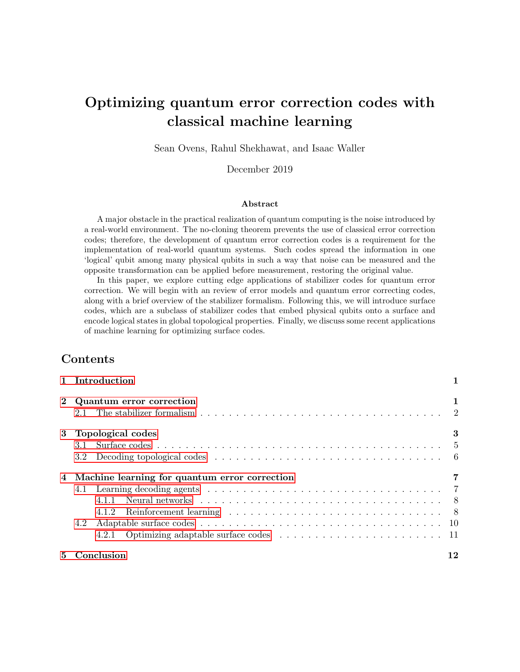

Multiple hidden layers: each neuron is connected to all neurons in the preceding and following layers (the connection weights are optimized during training)

Figure 5: Architecture of the neural network used for syndrome classification (reproduced from Krastanov et al. [12])

### 4.1.1 Neural networks

Decoding a stabilizer code can be trivially reformulated as a classification task. Syndrome measurements are the input, which must be classified as errors. An ideal decoder will classify every syndrome measurement as the physical error that produced it. Krastanov et al. [12] use a fullyconnected neural network to solve this classification task. Their network has a simple structure, with the input layer being the measured syndrome for each stabilizer operator, a small number of hidden layers, and an output layer representing the likelihoods of each type of error (see Figure 5).

The network is trained on pairs of errors and syndromes obtained by randomly generating errors and obtaining the corresponding syndrome using a quantum depolarization model, with the size and number of hidden layers determined by hyperparameter search. The trained neural network is used to decode by evaluating it forwards given a syndrome measurement as an input. The result is a vector of real numbers, which can be viewed as a probability distribution over possible errors.

Krastanov et al. test their approach on the toric code, because it has structure the neural network can take advantage of. They find that this algorithm significantly outperforms MWPM, suggesting that there exists hidden structure in the probability distribution over errors that a neural network is able to take advantage of. While Krastanov et al.'s approach is simple, it requires few explicit assumptions about the quantum computer it operates on, as the machine learning algorithm infers any structure during training—making it applicable to any stabilizer code.

### 4.1.2 Reinforcement learning

The decoding problem also admits a simple reformulation as a reinforcement learning problem [1, 13, 16]. We can imagine an agent whose goal is to preserve some logical quantum state. The agent can achieve this by applying correction operators to the physical qubits. Naturally, the agent succeeds as long as the initial logical quantum state is preserved by the physical corrections. The agent fails when it mistakenly applies a set of corrections that result in some erroneous logical operation. This simple framework offers significant flexibility (i.e. reward schemes, exploration,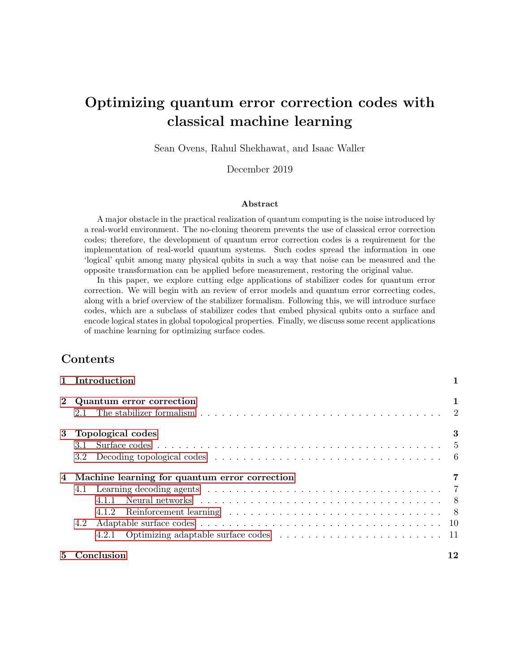and actions that can be taken by the agent are all independent of the framework), and in this section we will provide a brief overview of two recent projects in this domain.

Sweke et al. [16] describe a reinforcement learning scheme that is agnostic to the stabilizer code used, but they use a surface code as a concrete example. Formally, the authors translate the problem of achieving fault-tolerant quantum computation using a stabilizer code into a  $\eta$  *nite Markov decision process* [15], which defines a sequence of interactions between an *agent* and its environment. At each discrete time step in such a process, the agent is presented with a state (from some finite set of states) along with a finite set of actions that may be performed in that state. The agent chooses one of these actions, which results in a *reward*. Afterwards, the environment enters a new state and the agent is presented with its next available set of actions, marking the beginning of a new time step. Given an agent that follows some policy  $\pi$ , the *action-value function* (or q-function) for  $\pi$  maps state/action pairs  $(s, a)$  to the expected value generated by policy  $\pi$ given that action a is selected in state s. That is, if  $q_{\pi}(s, a)$  is the action-value function for some policy  $\pi$ , then

$$
q_{\pi}(s,a) = \mathbb{E}_{\pi}(G_t : S_t = s, A_t = a),
$$

where  $S_t$  represents the state of the environment at time t,  $A_t$  represents the action chosen by the agent at time t, and  $G_t$  is some discounted cumulative reward function. That is,  $G_t$  represents the cumulative reward obtained by policy  $\pi$  from time t, where the reward obtained at step  $i > t$  is scaled by  $\gamma^{(i-t)}$ , for some  $\gamma \geq [0, 1]$ . Effectively, the parameter  $\gamma$  encourages the agent to prioritize immediate returns when it is close to 0, and allows the agent to prioritize future rewards when it is close to 1. While the definition of the action-value function is quite natural, finding the optimal action-value function can be challenging in practice, especially if the state and actions spaces are large. To overcome this barrier, Sweke et al. [16] use a class of neural networks to estimate the optimal action-value function.

Using this basic framework for reinforcement learning, Sweke et al. [16] define a class of *decoding* agents, which can learn effective decoding schemes for the surface code. The action space for the decoding agents consists of the set of all Pauli  $X$  and  $Z$  operators on each physical qubit in the code, while the state space consists of every possible set of stabilizer measurements (i.e. every possible syndrome). The environment consists of an initial logical state, a *hidden state* that contains a list of errors that have occurred, and a referee decoder. Training of the decoding agent progresses in a sequence of episodes. An episode begins by resetting the environment (i.e. a new initial state logical state and hidden state is generated). The agent is then provided with the syndrome of the initial hidden state. Note that each stabilizer measurement also has a small possibility of returning the incorrect value, so this may not be the true syndrome of the current hidden state. Given this information, the agent decides to either

- (a) apply a Pauli correction operator to a single physical qubit, or
- (b) request a new syndrome measurement from the environment.

In case (a) the chosen Pauli operator is applied to the hidden state. If the resulting state is equal to the initial logical state, then the agent is given a reward of 1 scaled by the discount factor. Otherwise, the agent is given a reward of 0. Afterwards, the referee decoder is given the true syndrome of the hidden state; if the referee is incapable of retrieving the initial logical state from the hidden state, then the logical state has been lost and the episode ends. In case (b) a new set of errors is applied to the hidden state according to some error model, and then the agent is provided with a (possibly faulty) syndrome of the new hidden state. Since an episode ends only when the stored logical state is lost, an effective decoding agent will induce relatively long episodes. Sweke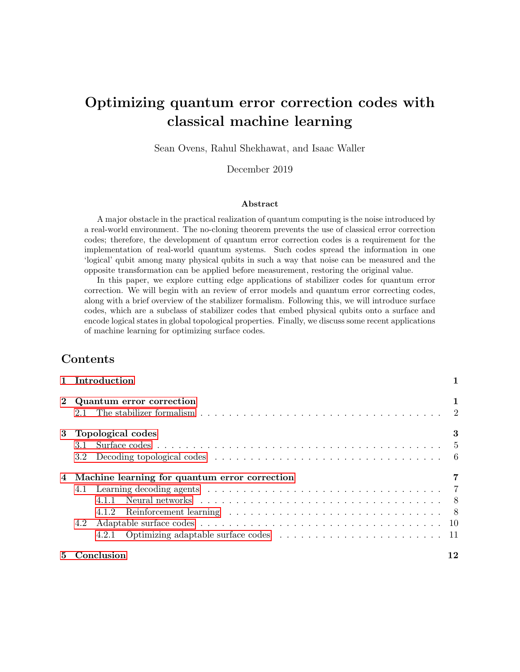

Figure 6: Illustrations of lattice adaptations. Blue dots represent data qubits, black and grey dots represent syndrome qubits.  $X$  and  $Z$ -type stabilizers are represented by lines connecting blue dots with plaquettes or vertices respectively. (a) The chosen vertices (red dots) are connected across a plaquette, which is split into two. (b) Red dots correspond to two plaquettes which are connected across a vertex. The vertex is split into two by a new edge . In both cases the number of data qubits (blue dots) is increased by one [13].

et al. [16] used their training framework to generate decoding agents that significantly extend the lifetime of logical 1-qubit states (relative to an unencoded single qubit) using the surface code. Their experiments considered not only the independent noise model, but also the depolarizing noise model. In the independent noise model (resp. depolarizing noise model), the generated decoding agents were capable of extending the lifetime of a single qubit as long as the error rate did not exceed approximately 0.13% (resp. 0.11%). Interestingly, these promising results were obtained using a surface code with a modest distance of  $d = 5$ .

#### 4.2 Adaptable surface codes

Efficiently correcting arbitrary noise is a complex optimization problem. The difficulty of this task can be attributed by the diversity of environmental noise: the noise may not be independent and identically distributed, may be highly correlated, or may be completely unknown in realistic settings. As we saw in Section 4.1, efficient decoding is central to any fault-tolerant [16] quantum computing system. However, since decoders are dependent on the underlying code structure, only a limited improvement is possible by optimizing the decoding procedure. In this section, we explore the benefits of changing the structure of the quantum memory, both before and during computation. This is achieved through reinforcement learning and adaptive surface codes.

In Section 3.1, we discussed surface codes defined on a square lattice. However, this is not a requirement; surface codes can be defined on arbitrary lattices, which can change the performance of the code. This flexibility allows us to fine-tune our surface codes for biased noise models. We refer to these codes as adaptable surface codes [13].

The basic moves depicted in Figure 6 can be implemented fault-tolerantly and map a surface code to another while changing the underlying stabilizer group [13]. These adaptations or code deformations let us edit the error correction mechanism on the fly and thus enable us to more effectively combat arbitrary noise. If the optimization procedure is performed on a real quantum computer, then we assume that the device has the capacity to perform the basic code deformations depicted in Figure 6 efficiently. Nautrup et al. claim that these deformations are designed with the constraints of a physical device in mind [13].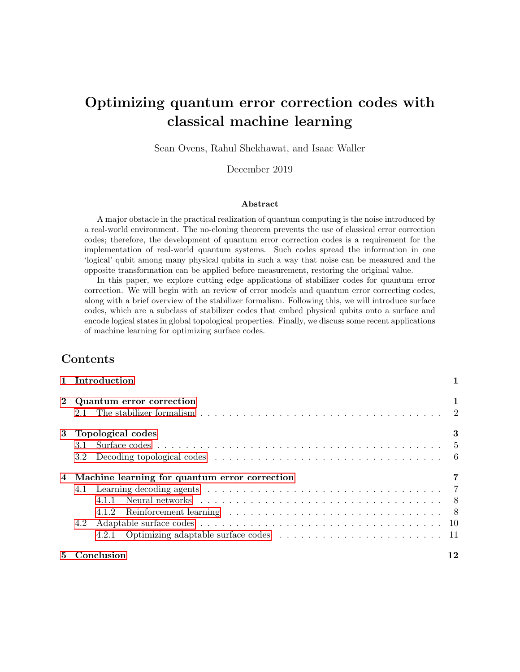

Figure 7: Illustration of a two-layered clip network of a PS agent. Surface codes are represented as percept clips in the upper layer. Code deformations are represented as actions in lower layer. Each edge has an associated weight according to its transition probability. In the illustration, given a percept  $s_2$  the agent decides to take action  $a_3$ . This results in a new surface code  $s_4$  which is added to the set of percept clips [13].

#### 4.2.1 Optimizing adaptable surface codes

In the scheme proposed by Nautrup et al.[13], a Projective Simulation (PS) reinforcement learning agent interacts with the environment and modifies the given quantum error correcting code based on feedback. First, the agent is trained in a simulated environment under various scenarios: i.i.d. error channels, correlated error channels, and changing error threshold requirements. Interestingly, it has been shown that the resulting agents have the ability to transfer their learning experience to different scenarios *(transfer learning)*. Thus, the agent does not need to be trained from scratch when its environment or threshold requirement changes. Each trial is initialized with a distance 3 surface code  $\Lambda$  consisting of 18 qubits embedded on a square lattice. The code is then subjected to an unknown Pauli noise channel which may change over time and can differ across qubits.

The core component of a PS agent is its clip network which comprises of episodic memory called *clips*. The agent receives information about the environment through activation of *percept* clip,  $s_i \nightharpoonup P$ , which is information about the current state of the code. The agent can perform certain actions as action clips,  $a_i \, 2 \, A$  and add up to 50 additional qubits to reduce the logical error rate below a threshold.

Figure 7 presents an illustrative two-layer clip network. In this network each percept,  $s_i \, 2$  $P, i \geq N^{(t)}$  (where  $N^{(t)}$  is the number of percepts available at time t) is connected to a action clip,  $s_1 \nightharpoonup A, j \nightharpoonup [1, M_i]$  ( $M_i$  is the set of actions available for a  $s_i$ ) via an edge which represents the transition probability of taking an action  $a_i$  based on percept  $s_i$ ,  $p_{ij} := p(a_i/s_i)$ . As the the agent learns, the clip network is adapted by creating new clips and updating transition probabilities. When a new percept is encountered by performing a particular action, it is added to P. The agent's goal is to use the basic code deformations depicted in Figure 6 to achieve a given target logical error threshold. If the agent is capable of reaching this threshold with no more than 50 additional qubits, it is given a reward of 1. Otherwise, the agent is given a reward of 0. After the agent is rewarded, the trial ends and the surface code is reset to  $\Lambda$ . As before, the agent's objective is to maximize its expected reward.

The fact that agents can transfer their learning experiences between environments allows us to bootstrap agents on (relatively) cheap classical simulation hardware, before using these trained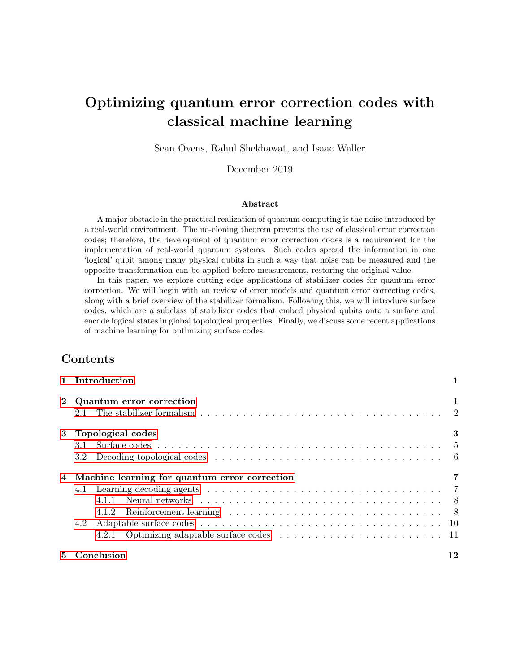agents on real quantum computers. In a new environment, by employing exploration and exploitation the agent can figure out a strategy to adapt a sub-optimal code to achieve the desired error rate. Additionally, the method makes no assumptions about the environment and the agents receive no information about the noise model. Offline classical simulations of surface code optimization are much faster and cheaper than running such an optimization procedure on a noisy small-scale quantum computer. Hence, transfer learning offers a significant performance advantage for near-term quantum computing devices.

### 5 Conclusion

Quantum error correcting codes are a fundamental step towards the realization of fault-tolerant quantum computing. It is convenient to express quantum error correcting codes in the stabilizer formalism, as stabilizer codes are relatively simple to analyze. A particularly promising subclass of stabilizer codes are the so-called surface codes, which are constructed by embedding physical qubits onto the edges of a lattice that is itself embedded onto some surface. Logical states are encoded in global topological properties of the surface. Surface codes are desirable because their stabilizers are local. That is, every stabilizer generator of a surface code acts on only a constant number of qubits, and each physical qubit is acted upon by only a constant number of generators. Decoding a surface code is nontrivial, since a syndrome only reveals the endpoints of error strings on the surface. Therefore, a decoder must decide which homology class the error belongs to, before applying a correction operator from this same class.

We investigated several applications of machine learning regarding the surface code. The decoding problem can be translated into a classification task and fed through a neural network. Krastanov et al. [12] demonstrated that neural networks are capable of effectively choosing error correction operators on the surface code, outperforming deterministic approaches in the depolarizing noise model. This approach is generalized by Sweke et al. [16], who describe a framework for generating decoding agents that extend the lifetime of logical qubit states. Finally, Nautrup et al. demonstrate a technique for optimizing the structure of the surface code itself, which could be used to improve the performance of the surface code in different error models. With the large number of parameters required to describe a particular surface code, the variety of machine learning techniques being applied to this class of codes is unsurprising. We observed how machine learning can be used to develop decoding schemes, and how it can be used to find optimal surface code structures; a natural next step would be to investigate how these approaches work in tandem.

### References

- [1] Philip Andreasson et al. "Quantum error correction for the toric code using deep reinforcement learning". In: *Quantum* 3 (Sept. 2019), p. 183. ISSN: 2521-327X. DOI: 10. 22331/q-2019-09-[02-183](https://doi.org/10.22331/q-2019-09-02-183). url: <http://dx.doi.org/10.22331/q-2019-09-02-183>.
- [2] H. Bombin. An Introduction to Topological Quantum Codes. 2013. arXiv: 1311. 0277 [quant-ph].
- [3] S. B. Bravyi and Alexei Y. Kitaev. "Quantum codes on a lattice with boundary". In: 1998.
- [4] Dan Browne. Lectures on Topological Codes and Quantum Computation. June 2014. ur.L. [https://sites.google.com/site/danbrowneucl/teaching/lectures-on-topological](https://sites.google.com/site/danbrowneucl/teaching/lectures-on-topological-codes-and-quantum-computation)[codes-and-quantum-computation](https://sites.google.com/site/danbrowneucl/teaching/lectures-on-topological-codes-and-quantum-computation).